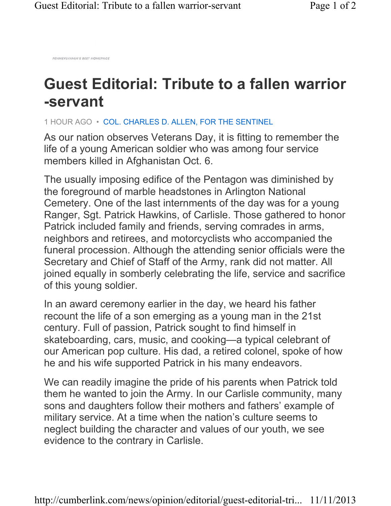PENNSYLVANIA'S BEST HOMEPAGE

## **Guest Editorial: Tribute to a fallen warrior -servant**

1 HOUR AGO • COL. CHARLES D. ALLEN, FOR THE SENTINEL

As our nation observes Veterans Day, it is fitting to remember the life of a young American soldier who was among four service members killed in Afghanistan Oct. 6.

The usually imposing edifice of the Pentagon was diminished by the foreground of marble headstones in Arlington National Cemetery. One of the last internments of the day was for a young Ranger, Sgt. Patrick Hawkins, of Carlisle. Those gathered to honor Patrick included family and friends, serving comrades in arms, neighbors and retirees, and motorcyclists who accompanied the funeral procession. Although the attending senior officials were the Secretary and Chief of Staff of the Army, rank did not matter. All joined equally in somberly celebrating the life, service and sacrifice of this young soldier.

In an award ceremony earlier in the day, we heard his father recount the life of a son emerging as a young man in the 21st century. Full of passion, Patrick sought to find himself in skateboarding, cars, music, and cooking—a typical celebrant of our American pop culture. His dad, a retired colonel, spoke of how he and his wife supported Patrick in his many endeavors.

We can readily imagine the pride of his parents when Patrick told them he wanted to join the Army. In our Carlisle community, many sons and daughters follow their mothers and fathers' example of military service. At a time when the nation's culture seems to neglect building the character and values of our youth, we see evidence to the contrary in Carlisle.